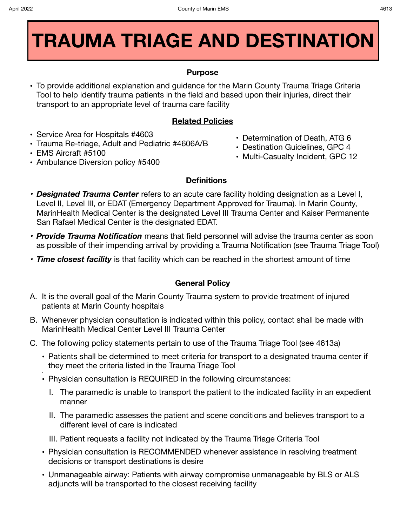# **TRAUMA TRIAGE AND DESTINATION**

## **Purpose**

**•** To provide additional explanation and guidance for the Marin County Trauma Triage Criteria Tool to help identify trauma patients in the field and based upon their injuries, direct their transport to an appropriate level of trauma care facility

### **Related Policies**

- **•** Service Area for Hospitals #4603
- **•** Trauma Re-triage, Adult and Pediatric #4606A/B
- **•** EMS Aircraft #5100
- **•** Ambulance Diversion policy #5400
- **•** Determination of Death, ATG 6
- **•** Destination Guidelines, GPC 4
- **•** Multi-Casualty Incident, GPC 12

#### **Definitions**

- *• Designated Trauma Center* refers to an acute care facility holding designation as a Level I, Level II, Level III, or EDAT (Emergency Department Approved for Trauma). In Marin County, MarinHealth Medical Center is the designated Level III Trauma Center and Kaiser Permanente San Rafael Medical Center is the designated EDAT.
- *• Provide Trauma Notification* means that field personnel will advise the trauma center as soon as possible of their impending arrival by providing a Trauma Notification (see Trauma Triage Tool)
- *• Time closest facility* is that facility which can be reached in the shortest amount of time

## **General Policy**

- A. It is the overall goal of the Marin County Trauma system to provide treatment of injured patients at Marin County hospitals
- B. Whenever physician consultation is indicated within this policy, contact shall be made with MarinHealth Medical Center Level III Trauma Center
- C. The following policy statements pertain to use of the Trauma Triage Tool (see 4613a)
	- **•** Patients shall be determined to meet criteria for transport to a designated trauma center if they meet the criteria listed in the Trauma Triage Tool
	- **• •** Physician consultation is REQUIRED in the following circumstances:
		- I. The paramedic is unable to transport the patient to the indicated facility in an expedient manner
		- II. The paramedic assesses the patient and scene conditions and believes transport to a different level of care is indicated
		- III. Patient requests a facility not indicated by the Trauma Triage Criteria Tool
	- **•** Physician consultation is RECOMMENDED whenever assistance in resolving treatment decisions or transport destinations is desire
	- **•** Unmanageable airway: Patients with airway compromise unmanageable by BLS or ALS adjuncts will be transported to the closest receiving facility